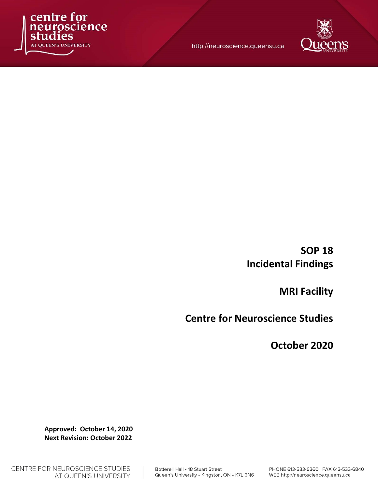

http://neuroscience.queensu.ca



SOP 18 Incidental Findings

MRI Facility

Centre for Neuroscience Studies

October 2020

Approved: October 14, 2020 Next Revision: October 2022

CENTRE FOR NEUROSCIENCE STUDIES AT QUEEN'S UNIVERSITY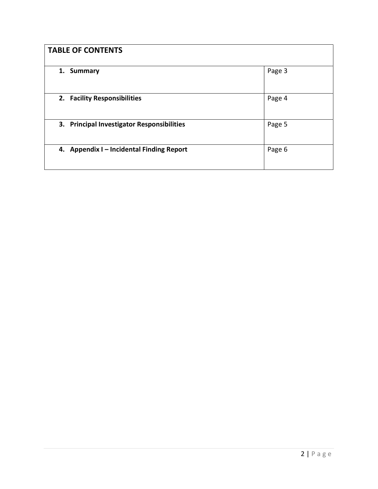| <b>TABLE OF CONTENTS</b>                   |        |
|--------------------------------------------|--------|
| 1.<br><b>Summary</b>                       | Page 3 |
| 2. Facility Responsibilities               | Page 4 |
| 3. Principal Investigator Responsibilities | Page 5 |
| 4. Appendix I - Incidental Finding Report  | Page 6 |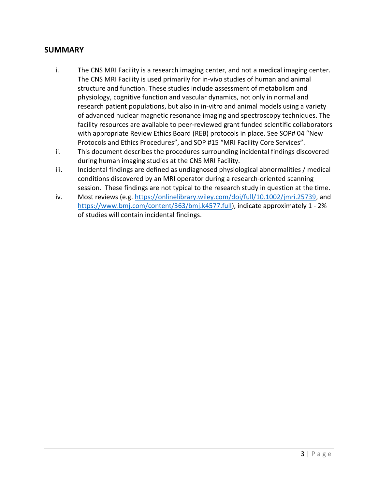#### **SUMMARY**

- i. The CNS MRI Facility is a research imaging center, and not a medical imaging center. The CNS MRI Facility is used primarily for in-vivo studies of human and animal structure and function. These studies include assessment of metabolism and physiology, cognitive function and vascular dynamics, not only in normal and research patient populations, but also in in-vitro and animal models using a variety of advanced nuclear magnetic resonance imaging and spectroscopy techniques. The facility resources are available to peer-reviewed grant funded scientific collaborators with appropriate Review Ethics Board (REB) protocols in place. See SOP# 04 "New Protocols and Ethics Procedures", and SOP #15 "MRI Facility Core Services".
- ii. This document describes the procedures surrounding incidental findings discovered during human imaging studies at the CNS MRI Facility.
- iii. Incidental findings are defined as undiagnosed physiological abnormalities / medical conditions discovered by an MRI operator during a research-oriented scanning session. These findings are not typical to the research study in question at the time.
- iv. Most reviews (e.g. https://onlinelibrary.wiley.com/doi/full/10.1002/jmri.25739, and https://www.bmj.com/content/363/bmj.k4577.full), indicate approximately 1 - 2% of studies will contain incidental findings.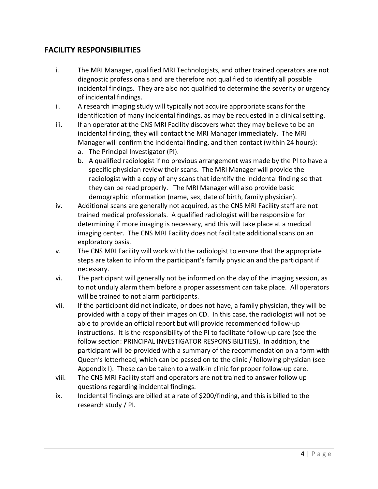## FACILITY RESPONSIBILITIES

- i. The MRI Manager, qualified MRI Technologists, and other trained operators are not diagnostic professionals and are therefore not qualified to identify all possible incidental findings. They are also not qualified to determine the severity or urgency of incidental findings.
- ii. A research imaging study will typically not acquire appropriate scans for the identification of many incidental findings, as may be requested in a clinical setting.
- iii. If an operator at the CNS MRI Facility discovers what they may believe to be an incidental finding, they will contact the MRI Manager immediately. The MRI Manager will confirm the incidental finding, and then contact (within 24 hours): a. The Principal Investigator (PI).
	- b. A qualified radiologist if no previous arrangement was made by the PI to have a specific physician review their scans. The MRI Manager will provide the radiologist with a copy of any scans that identify the incidental finding so that they can be read properly. The MRI Manager will also provide basic demographic information (name, sex, date of birth, family physician).
- iv. Additional scans are generally not acquired, as the CNS MRI Facility staff are not trained medical professionals. A qualified radiologist will be responsible for determining if more imaging is necessary, and this will take place at a medical imaging center. The CNS MRI Facility does not facilitate additional scans on an exploratory basis.
- v. The CNS MRI Facility will work with the radiologist to ensure that the appropriate steps are taken to inform the participant's family physician and the participant if necessary.
- vi. The participant will generally not be informed on the day of the imaging session, as to not unduly alarm them before a proper assessment can take place. All operators will be trained to not alarm participants.
- vii. If the participant did not indicate, or does not have, a family physician, they will be provided with a copy of their images on CD. In this case, the radiologist will not be able to provide an official report but will provide recommended follow-up instructions. It is the responsibility of the PI to facilitate follow-up care (see the follow section: PRINCIPAL INVESTIGATOR RESPONSIBILITIES). In addition, the participant will be provided with a summary of the recommendation on a form with Queen's letterhead, which can be passed on to the clinic / following physician (see Appendix I). These can be taken to a walk-in clinic for proper follow-up care.
- viii. The CNS MRI Facility staff and operators are not trained to answer follow up questions regarding incidental findings.
- ix. Incidental findings are billed at a rate of \$200/finding, and this is billed to the research study / PI.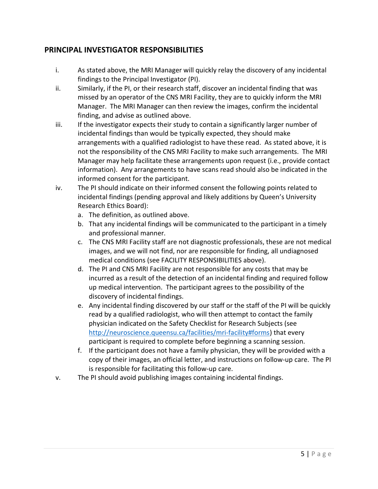## PRINCIPAL INVESTIGATOR RESPONSIBILITIES

- i. As stated above, the MRI Manager will quickly relay the discovery of any incidental findings to the Principal Investigator (PI).
- ii. Similarly, if the PI, or their research staff, discover an incidental finding that was missed by an operator of the CNS MRI Facility, they are to quickly inform the MRI Manager. The MRI Manager can then review the images, confirm the incidental finding, and advise as outlined above.
- iii. If the investigator expects their study to contain a significantly larger number of incidental findings than would be typically expected, they should make arrangements with a qualified radiologist to have these read. As stated above, it is not the responsibility of the CNS MRI Facility to make such arrangements. The MRI Manager may help facilitate these arrangements upon request (i.e., provide contact information). Any arrangements to have scans read should also be indicated in the informed consent for the participant.
- iv. The PI should indicate on their informed consent the following points related to incidental findings (pending approval and likely additions by Queen's University Research Ethics Board):
	- a. The definition, as outlined above.
	- b. That any incidental findings will be communicated to the participant in a timely and professional manner.
	- c. The CNS MRI Facility staff are not diagnostic professionals, these are not medical images, and we will not find, nor are responsible for finding, all undiagnosed medical conditions (see FACILITY RESPONSIBILITIES above).
	- d. The PI and CNS MRI Facility are not responsible for any costs that may be incurred as a result of the detection of an incidental finding and required follow up medical intervention. The participant agrees to the possibility of the discovery of incidental findings.
	- e. Any incidental finding discovered by our staff or the staff of the PI will be quickly read by a qualified radiologist, who will then attempt to contact the family physician indicated on the Safety Checklist for Research Subjects (see http://neuroscience.queensu.ca/facilities/mri-facility#forms) that every participant is required to complete before beginning a scanning session.
	- f. If the participant does not have a family physician, they will be provided with a copy of their images, an official letter, and instructions on follow-up care. The PI is responsible for facilitating this follow-up care.
- v. The PI should avoid publishing images containing incidental findings.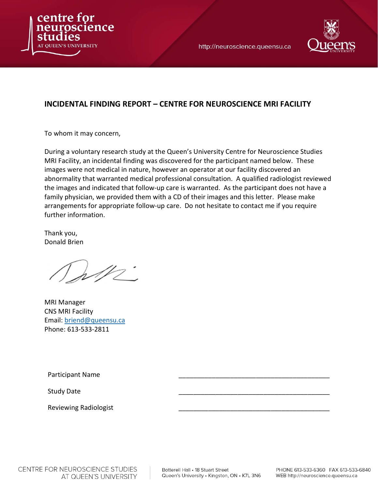



# INCIDENTAL FINDING REPORT – CENTRE FOR NEUROSCIENCE MRI FACILITY

To whom it may concern,

During a voluntary research study at the Queen's University Centre for Neuroscience Studies MRI Facility, an incidental finding was discovered for the participant named below. These images were not medical in nature, however an operator at our facility discovered an abnormality that warranted medical professional consultation. A qualified radiologist reviewed the images and indicated that follow-up care is warranted. As the participant does not have a family physician, we provided them with a CD of their images and this letter. Please make arrangements for appropriate follow-up care. Do not hesitate to contact me if you require further information.

Thank you, Donald Brien

 $M2$ 

MRI Manager CNS MRI Facility Email: briend@queensu.ca Phone: 613-533-2811

Participant Name

Study Date \_\_\_\_\_\_\_\_\_\_\_\_\_\_\_\_\_\_\_\_\_\_\_\_\_\_\_\_\_\_\_\_\_\_\_\_\_\_\_\_\_

Reviewing Radiologist